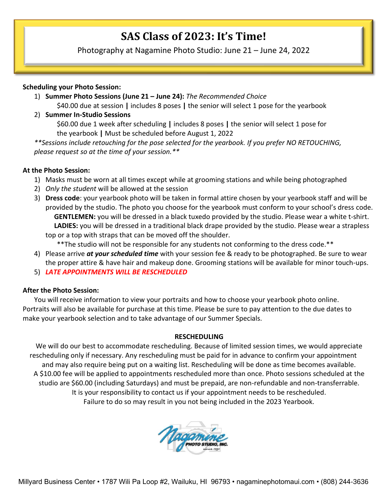# **SAS Class of 2023: It's Time!**

Photography at Nagamine Photo Studio: June 21 – June 24, 2022

#### **Scheduling your Photo Session:**

- 1) **Summer Photo Sessions (June 21 – June 24):** *The Recommended Choice* \$40.00 due at session **|** includes 8 poses **|** the senior will select 1 pose for the yearbook
- 2) **Summer In-Studio Sessions**

\$60.00 due 1 week after scheduling **|** includes 8 poses **|** the senior will select 1 pose for the yearbook **|** Must be scheduled before August 1, 2022

*\*\*Sessions include retouching for the pose selected for the yearbook. If you prefer NO RETOUCHING, please request so at the time of your session.\*\**

#### **At the Photo Session:**

- 1) Masks must be worn at all times except while at grooming stations and while being photographed
- 2) *Only the student* will be allowed at the session
- 3) **Dress code**: your yearbook photo will be taken in formal attire chosen by your yearbook staff and will be provided by the studio. The photo you choose for the yearbook must conform to your school's dress code.  **GENTLEMEN:** you will be dressed in a black tuxedo provided by the studio. Please wear a white t-shirt.  **LADIES:** you will be dressed in a traditional black drape provided by the studio. Please wear a strapless top or a top with straps that can be moved off the shoulder.
	- \*\*The studio will not be responsible for any students not conforming to the dress code.\*\*
- 4) Please arrive *at your scheduled time* with your session fee & ready to be photographed. Be sure to wear the proper attire & have hair and makeup done. Grooming stations will be available for minor touch-ups.
- 5) *LATE APPOINTMENTS WILL BE RESCHEDULED*

#### **After the Photo Session:**

You will receive information to view your portraits and how to choose your yearbook photo online. Portraits will also be available for purchase at this time. Please be sure to pay attention to the due dates to make your yearbook selection and to take advantage of our Summer Specials.

#### **RESCHEDULING**

We will do our best to accommodate rescheduling. Because of limited session times, we would appreciate rescheduling only if necessary. Any rescheduling must be paid for in advance to confirm your appointment and may also require being put on a waiting list. Rescheduling will be done as time becomes available. A \$10.00 fee will be applied to appointments rescheduled more than once. Photo sessions scheduled at the studio are \$60.00 (including Saturdays) and must be prepaid, are non-refundable and non-transferrable. It is your responsibility to contact us if your appointment needs to be rescheduled. Failure to do so may result in you not being included in the 2023 Yearbook.